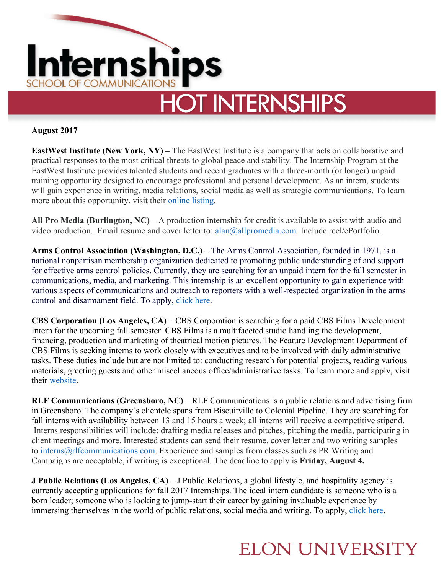

## **August 2017**

**EastWest Institute (New York, NY)** – The EastWest Institute is a company that acts on collaborative and practical responses to the most critical threats to global peace and stability. The Internship Program at the EastWest Institute provides talented students and recent graduates with a three-month (or longer) unpaid training opportunity designed to encourage professional and personal development. As an intern, students will gain experience in writing, media relations, social media as well as strategic communications. To learn more about this opportunity, visit their online listing.

**All Pro Media (Burlington, NC)** – A production internship for credit is available to assist with audio and video production. Email resume and cover letter to: alan@allpromedia.com Include reel/ePortfolio.

**Arms Control Association (Washington, D.C.)** – The Arms Control Association, founded in 1971, is a national nonpartisan membership organization dedicated to promoting public understanding of and support for effective arms control policies. Currently, they are searching for an unpaid intern for the fall semester in communications, media, and marketing. This internship is an excellent opportunity to gain experience with various aspects of communications and outreach to reporters with a well-respected organization in the arms control and disarmament field. To apply, click here.

**CBS Corporation (Los Angeles, CA)** – CBS Corporation is searching for a paid CBS Films Development Intern for the upcoming fall semester. CBS Films is a multifaceted studio handling the development, financing, production and marketing of theatrical motion pictures. The Feature Development Department of CBS Films is seeking interns to work closely with executives and to be involved with daily administrative tasks. These duties include but are not limited to: conducting research for potential projects, reading various materials, greeting guests and other miscellaneous office/administrative tasks. To learn more and apply, visit their website.

**RLF Communications (Greensboro, NC)** – RLF Communications is a public relations and advertising firm in Greensboro. The company's clientele spans from Biscuitville to Colonial Pipeline. They are searching for fall interns with availability between 13 and 15 hours a week; all interns will receive a competitive stipend. Interns responsibilities will include: drafting media releases and pitches, pitching the media, participating in client meetings and more. Interested students can send their resume, cover letter and two writing samples to interns@rlfcommunications.com. Experience and samples from classes such as PR Writing and Campaigns are acceptable, if writing is exceptional. The deadline to apply is **Friday, August 4.**

**J Public Relations (Los Angeles, CA)** – J Public Relations, a global lifestyle, and hospitality agency is currently accepting applications for fall 2017 Internships. The ideal intern candidate is someone who is a born leader; someone who is looking to jump-start their career by gaining invaluable experience by immersing themselves in the world of public relations, social media and writing. To apply, click here.

## **ELON UNIVERSITY**